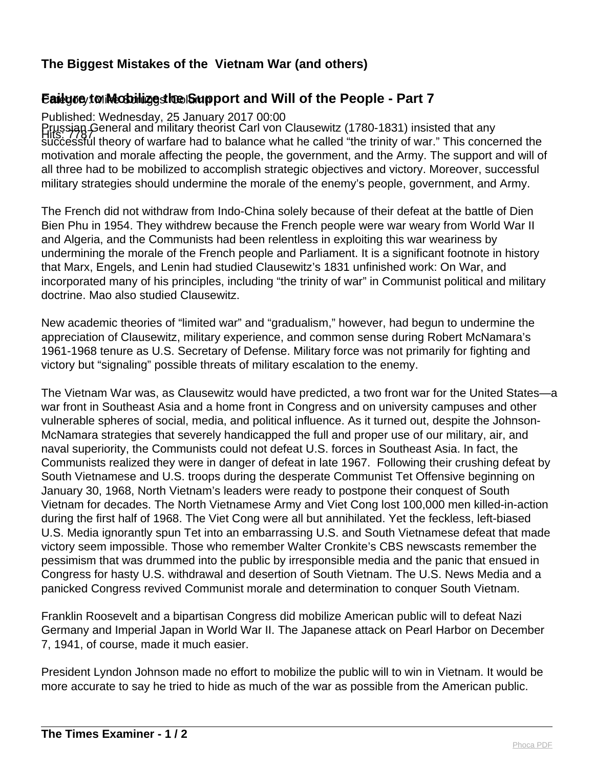## **The Biggest Mistakes of the Vietnam War (and others)**

## Eailyoe/to iMccbilizesthe Support and Will of the People - Part 7

Published: Wednesday, 25 January 2017 00:00

Prussian General and military theorist Carl von Clausewitz (1780-1831) insisted that any<br>https://www.theory.of.usrfare.hod.to.holanee.ushat.ho.collod."the trinity of war." This conce successful theory of warfare had to balance what he called "the trinity of war." This concerned the motivation and morale affecting the people, the government, and the Army. The support and will of all three had to be mobilized to accomplish strategic objectives and victory. Moreover, successful military strategies should undermine the morale of the enemy's people, government, and Army.

The French did not withdraw from Indo-China solely because of their defeat at the battle of Dien Bien Phu in 1954. They withdrew because the French people were war weary from World War II and Algeria, and the Communists had been relentless in exploiting this war weariness by undermining the morale of the French people and Parliament. It is a significant footnote in history that Marx, Engels, and Lenin had studied Clausewitz's 1831 unfinished work: On War, and incorporated many of his principles, including "the trinity of war" in Communist political and military doctrine. Mao also studied Clausewitz.

New academic theories of "limited war" and "gradualism," however, had begun to undermine the appreciation of Clausewitz, military experience, and common sense during Robert McNamara's 1961-1968 tenure as U.S. Secretary of Defense. Military force was not primarily for fighting and victory but "signaling" possible threats of military escalation to the enemy.

The Vietnam War was, as Clausewitz would have predicted, a two front war for the United States—a war front in Southeast Asia and a home front in Congress and on university campuses and other vulnerable spheres of social, media, and political influence. As it turned out, despite the Johnson-McNamara strategies that severely handicapped the full and proper use of our military, air, and naval superiority, the Communists could not defeat U.S. forces in Southeast Asia. In fact, the Communists realized they were in danger of defeat in late 1967. Following their crushing defeat by South Vietnamese and U.S. troops during the desperate Communist Tet Offensive beginning on January 30, 1968, North Vietnam's leaders were ready to postpone their conquest of South Vietnam for decades. The North Vietnamese Army and Viet Cong lost 100,000 men killed-in-action during the first half of 1968. The Viet Cong were all but annihilated. Yet the feckless, left-biased U.S. Media ignorantly spun Tet into an embarrassing U.S. and South Vietnamese defeat that made victory seem impossible. Those who remember Walter Cronkite's CBS newscasts remember the pessimism that was drummed into the public by irresponsible media and the panic that ensued in Congress for hasty U.S. withdrawal and desertion of South Vietnam. The U.S. News Media and a panicked Congress revived Communist morale and determination to conquer South Vietnam.

Franklin Roosevelt and a bipartisan Congress did mobilize American public will to defeat Nazi Germany and Imperial Japan in World War II. The Japanese attack on Pearl Harbor on December 7, 1941, of course, made it much easier.

President Lyndon Johnson made no effort to mobilize the public will to win in Vietnam. It would be more accurate to say he tried to hide as much of the war as possible from the American public.